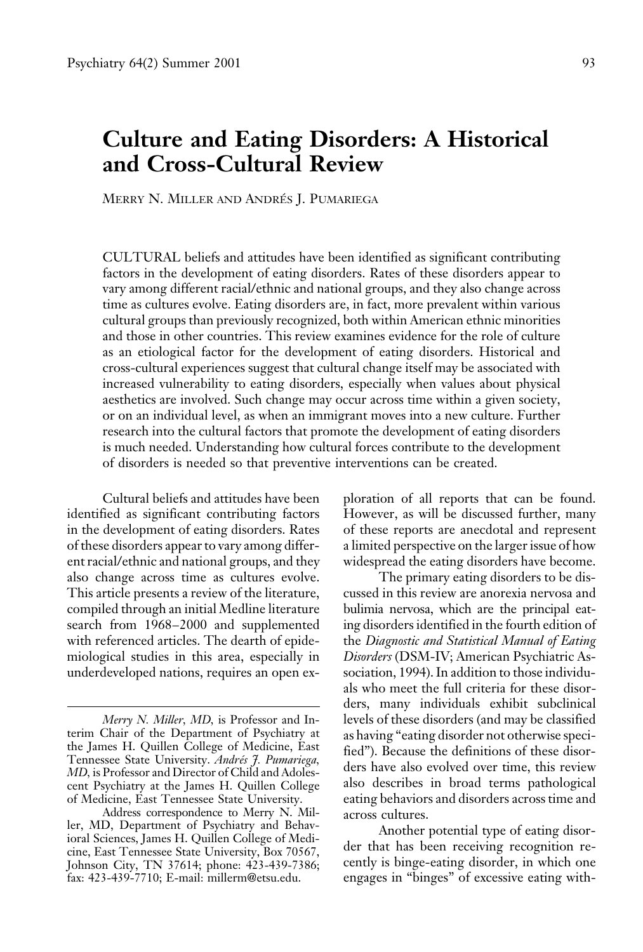# **Culture and Eating Disorders: A Historical and Cross-Cultural Review**

MERRY N. MILLER AND ANDRÉS J. PUMARIEGA

CULTURAL beliefs and attitudes have been identified as significant contributing factors in the development of eating disorders. Rates of these disorders appear to vary among different racial/ethnic and national groups, and they also change across time as cultures evolve. Eating disorders are, in fact, more prevalent within various cultural groups than previously recognized, both within American ethnic minorities and those in other countries. This review examines evidence for the role of culture as an etiological factor for the development of eating disorders. Historical and cross-cultural experiences suggest that cultural change itself may be associated with increased vulnerability to eating disorders, especially when values about physical aesthetics are involved. Such change may occur across time within a given society, or on an individual level, as when an immigrant moves into a new culture. Further research into the cultural factors that promote the development of eating disorders is much needed. Understanding how cultural forces contribute to the development of disorders is needed so that preventive interventions can be created.

identified as significant contributing factors However, as will be discussed further, many in the development of eating disorders. Rates of these reports are anecdotal and represent of these disorders appear to vary among differ- a limited perspective on the larger issue of how ent racial/ethnic and national groups, and they widespread the eating disorders have become. also change across time as cultures evolve. The primary eating disorders to be dis-This article presents a review of the literature, cussed in this review are anorexia nervosa and compiled through an initial Medline literature bulimia nervosa, which are the principal eatsearch from 1968–2000 and supplemented ing disorders identified in the fourth edition of with referenced articles. The dearth of epide- the *Diagnostic and Statistical Manual of Eating* miological studies in this area, especially in *Disorders* (DSM-IV; American Psychiatric Asunderdeveloped nations, requires an open ex- sociation, 1994). In addition to those individu-

Address correspondence to Merry N. Mil-<br>ler, MD, Department of Psychiatry and Behav-<br>Another Ter, MD, Department of Psychiatry and Behav-<br>
ioral Sciences, James H. Quillen College of Medi-<br>
cine, East Tennessee State University, Box 70567,<br>
Johnson City, TN 37614; phone: 423-439-7386; cently is binge-eating disord

Cultural beliefs and attitudes have been ploration of all reports that can be found.

als who meet the full criteria for these disorders, many individuals exhibit subclinical *Merry N. Miller, MD,* is Professor and In-<br>term Chair of the Department of Psychiatry at as having "eating disorder not otherwise speci-

cently is binge-eating disorder, in which one fax: 423-439-7710; E-mail: millerm@etsu.edu. engages in "binges" of excessive eating with-

terim Chair of the Department of Psychiatry at as having "eating disorder not otherwise speci-<br>the James H. Quillen College of Medicine, East fied"). Because the definitions of these disor-<br>Tennessee State University. Andr *MD*, is Professor and Director of Child and Adoles-<br>cent. Psychiatry at the James H. Quillen College also describes in broad terms pathological cent Psychiatry at the James H. Quillen College of Medicine, East Tennessee State University. eating behaviors and disorders across time and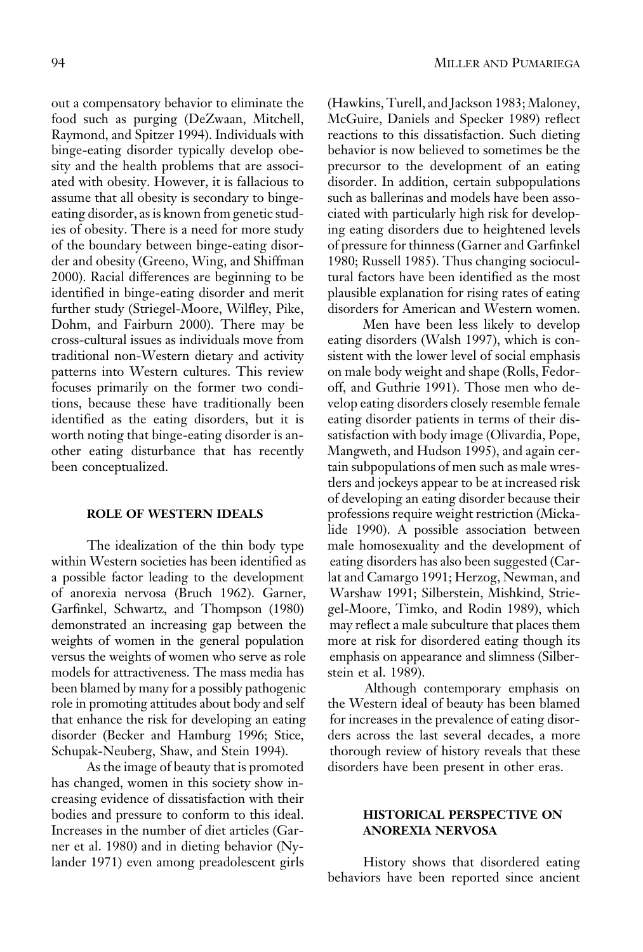94 MILLER AND PUMARIEGA

out a compensatory behavior to eliminate the (Hawkins, Turell, and Jackson 1983; Maloney, binge-eating disorder typically develop obe- behavior is now believed to sometimes be the ated with obesity. However, it is fallacious to disorder. In addition, certain subpopulations assume that all obesity is secondary to binge- such as ballerinas and models have been assoeating disorder, as is known from genetic stud- ciated with particularly high risk for developies of obesity. There is a need for more study ing eating disorders due to heightened levels der and obesity (Greeno, Wing, and Shiffman 1980; Russell 1985). Thus changing socioculfurther study (Striegel-Moore, Wilfley, Pike, disorders for American and Western women. Dohm, and Fairburn 2000). There may be Men have been less likely to develop cross-cultural issues as individuals move from eating disorders (Walsh 1997), which is contraditional non-Western dietary and activity sistent with the lower level of social emphasis patterns into Western cultures. This review on male body weight and shape (Rolls, Fedorfocuses primarily on the former two condi- off, and Guthrie 1991). Those men who detions, because these have traditionally been velop eating disorders closely resemble female identified as the eating disorders, but it is eating disorder patients in terms of their disworth noting that binge-eating disorder is an- satisfaction with body image (Olivardia, Pope, other eating disturbance that has recently Mangweth, and Hudson 1995), and again cerbeen conceptualized. tain subpopulations of men such as male wres-

within Western societies has been identified as eating disorders has also been suggested (Cara possible factor leading to the development lat and Camargo 1991; Herzog, Newman, and of anorexia nervosa (Bruch 1962). Garner, Warshaw 1991; Silberstein, Mishkind, Strie-Garfinkel, Schwartz, and Thompson (1980) gel-Moore, Timko, and Rodin 1989), which demonstrated an increasing gap between the may reflect a male subculture that places them weights of women in the general population more at risk for disordered eating though its versus the weights of women who serve as role emphasis on appearance and slimness (Silbermodels for attractiveness. The mass media has stein et al. 1989). been blamed by many for a possibly pathogenic Although contemporary emphasis on role in promoting attitudes about body and self the Western ideal of beauty has been blamed that enhance the risk for developing an eating for increases in the prevalence of eating disordisorder (Becker and Hamburg 1996; Stice, ders across the last several decades, a more Schupak-Neuberg, Shaw, and Stein 1994). thorough review of history reveals that these

has changed, women in this society show increasing evidence of dissatisfaction with their bodies and pressure to conform to this ideal. **HISTORICAL PERSPECTIVE ON** Increases in the number of diet articles (Gar- **ANOREXIA NERVOSA** ner et al. 1980) and in dieting behavior (Nylander 1971) even among preadolescent girls **History shows that disordered eating** 

food such as purging (DeZwaan, Mitchell, McGuire, Daniels and Specker 1989) reflect Raymond, and Spitzer 1994). Individuals with reactions to this dissatisfaction. Such dieting sity and the health problems that are associ- precursor to the development of an eating of the boundary between binge-eating disor- of pressure for thinness (Garner and Garfinkel 2000). Racial differences are beginning to be tural factors have been identified as the most identified in binge-eating disorder and merit plausible explanation for rising rates of eating

tlers and jockeys appear to be at increased risk of developing an eating disorder because their **ROLE OF WESTERN IDEALS** professions require weight restriction (Mickalide 1990). A possible association between The idealization of the thin body type male homosexuality and the development of

As the image of beauty that is promoted disorders have been present in other eras.

behaviors have been reported since ancient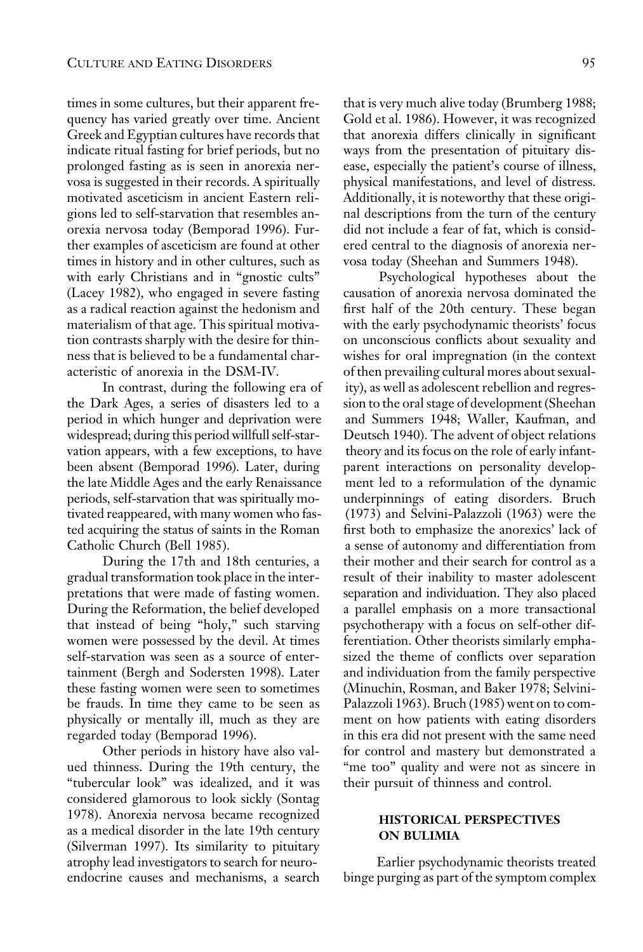times in history and in other cultures, such as vosa today (Sheehan and Summers 1948). with early Christians and in "gnostic cults" Psychological hypotheses about the

the Dark Ages, a series of disasters led to a sion to the oral stage of development (Sheehan period in which hunger and deprivation were and Summers 1948; Waller, Kaufman, and widespread; during this period willfull self-star- Deutsch 1940). The advent of object relations vation appears, with a few exceptions, to have theory and its focus on the role of early infantbeen absent (Bemporad 1996). Later, during parent interactions on personality developthe late Middle Ages and the early Renaissance ment led to a reformulation of the dynamic periods, self-starvation that was spiritually mo- underpinnings of eating disorders. Bruch tivated reappeared, with many women who fas- (1973) and Selvini-Palazzoli (1963) were the ted acquiring the status of saints in the Roman first both to emphasize the anorexics' lack of Catholic Church (Bell 1985). a sense of autonomy and differentiation from

gradual transformation took place in the inter- result of their inability to master adolescent pretations that were made of fasting women. separation and individuation. They also placed During the Reformation, the belief developed a parallel emphasis on a more transactional that instead of being "holy," such starving psychotherapy with a focus on self-other difwomen were possessed by the devil. At times ferentiation. Other theorists similarly emphaself-starvation was seen as a source of enter- sized the theme of conflicts over separation tainment (Bergh and Sodersten 1998). Later and individuation from the family perspective these fasting women were seen to sometimes (Minuchin, Rosman, and Baker 1978; Selvinibe frauds. In time they came to be seen as Palazzoli 1963). Bruch (1985) went on to comphysically or mentally ill, much as they are ment on how patients with eating disorders

ued thinness. During the 19th century, the "me too" quality and were not as sincere in "tubercular look" was idealized, and it was their pursuit of thinness and control. considered glamorous to look sickly (Sontag 1978). Anorexia nervosa became recognized **HISTORICAL PERSPECTIVES** as a medical disorder in the late 19th century **ON BULIMIA** (Silverman 1997). Its similarity to pituitary atrophy lead investigators to search for neuro- Earlier psychodynamic theorists treated endocrine causes and mechanisms, a search binge purging as part of the symptom complex

times in some cultures, but their apparent fre- that is very much alive today (Brumberg 1988; quency has varied greatly over time. Ancient Gold et al. 1986). However, it was recognized Greek and Egyptian cultures have records that that anorexia differs clinically in significant indicate ritual fasting for brief periods, but no ways from the presentation of pituitary disprolonged fasting as is seen in anorexia ner- ease, especially the patient's course of illness, vosa is suggested in their records. A spiritually physical manifestations, and level of distress. motivated asceticism in ancient Eastern reli- Additionally, it is noteworthy that these origigions led to self-starvation that resembles an- nal descriptions from the turn of the century orexia nervosa today (Bemporad 1996). Fur- did not include a fear of fat, which is considther examples of asceticism are found at other ered central to the diagnosis of anorexia ner-

(Lacey 1982), who engaged in severe fasting causation of anorexia nervosa dominated the as a radical reaction against the hedonism and first half of the 20th century. These began materialism of that age. This spiritual motiva- with the early psychodynamic theorists' focus tion contrasts sharply with the desire for thin- on unconscious conflicts about sexuality and ness that is believed to be a fundamental char- wishes for oral impregnation (in the context acteristic of anorexia in the DSM-IV. of then prevailing cultural mores about sexual-In contrast, during the following era of ity), as well as adolescent rebellion and regres-During the 17th and 18th centuries, a their mother and their search for control as a regarded today (Bemporad 1996). in this era did not present with the same need Other periods in history have also val- for control and mastery but demonstrated a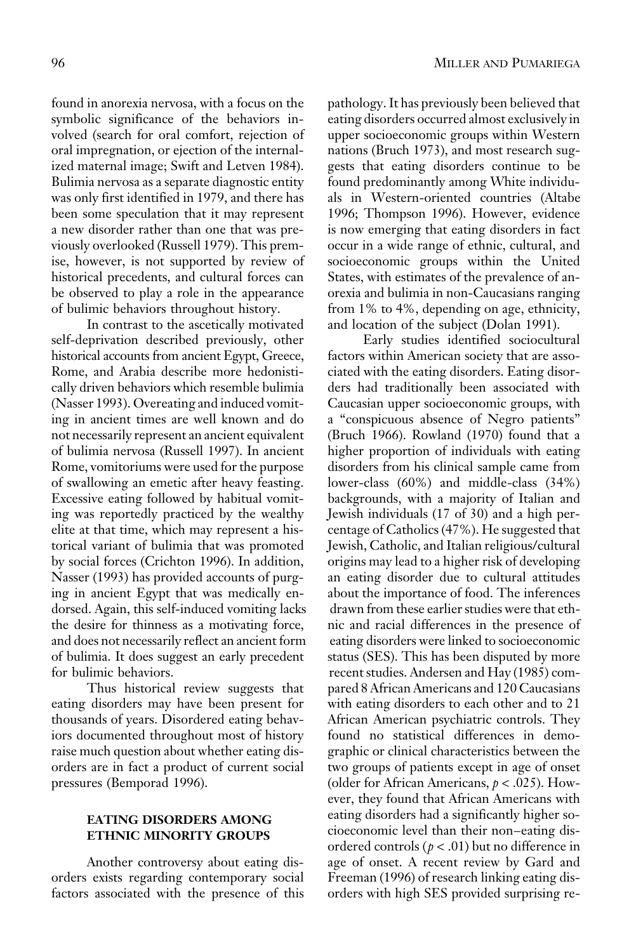found in anorexia nervosa, with a focus on the pathology. It has previously been believed that symbolic significance of the behaviors in- eating disorders occurred almost exclusively in volved (search for oral comfort, rejection of upper socioeconomic groups within Western oral impregnation, or ejection of the internal- nations (Bruch 1973), and most research sugized maternal image; Swift and Letven 1984). gests that eating disorders continue to be Bulimia nervosa as a separate diagnostic entity found predominantly among White individuwas only first identified in 1979, and there has als in Western-oriented countries (Altabe been some speculation that it may represent 1996; Thompson 1996). However, evidence a new disorder rather than one that was pre- is now emerging that eating disorders in fact viously overlooked (Russell 1979). This prem- occur in a wide range of ethnic, cultural, and ise, however, is not supported by review of socioeconomic groups within the United historical precedents, and cultural forces can States, with estimates of the prevalence of anbe observed to play a role in the appearance orexia and bulimia in non-Caucasians ranging of bulimic behaviors throughout history. from 1% to 4%, depending on age, ethnicity,

self-deprivation described previously, other Early studies identified sociocultural historical accounts from ancient Egypt, Greece, factors within American society that are asso-Rome, and Arabia describe more hedonisti- ciated with the eating disorders. Eating disorcally driven behaviors which resemble bulimia ders had traditionally been associated with (Nasser 1993). Overeating and induced vomit- Caucasian upper socioeconomic groups, with ing in ancient times are well known and do a "conspicuous absence of Negro patients" not necessarily represent an ancient equivalent (Bruch 1966). Rowland (1970) found that a of bulimia nervosa (Russell 1997). In ancient higher proportion of individuals with eating Rome, vomitoriums were used for the purpose disorders from his clinical sample came from of swallowing an emetic after heavy feasting. lower-class (60%) and middle-class (34%) Excessive eating followed by habitual vomit- backgrounds, with a majority of Italian and ing was reportedly practiced by the wealthy Jewish individuals (17 of 30) and a high perelite at that time, which may represent a his- centage of Catholics (47%). He suggested that torical variant of bulimia that was promoted Jewish, Catholic, and Italian religious/cultural by social forces (Crichton 1996). In addition, origins may lead to a higher risk of developing Nasser (1993) has provided accounts of purg- an eating disorder due to cultural attitudes ing in ancient Egypt that was medically en- about the importance of food. The inferences dorsed. Again, this self-induced vomiting lacks drawn from these earlier studies were that eththe desire for thinness as a motivating force, nic and racial differences in the presence of and does not necessarily reflect an ancient form eating disorders were linked to socioeconomic of bulimia. It does suggest an early precedent status (SES). This has been disputed by more for bulimic behaviors. recent studies. Andersen and Hay (1985) com-

eating disorders may have been present for with eating disorders to each other and to 21 iors documented throughout most of history found no statistical differences in demo-

orders exists regarding contemporary social Freeman (1996) of research linking eating disfactors associated with the presence of this orders with high SES provided surprising re-

In contrast to the ascetically motivated and location of the subject (Dolan 1991).

Thus historical review suggests that pared 8 African Americans and 120 Caucasians thousands of years. Disordered eating behav- African American psychiatric controls. They raise much question about whether eating dis- graphic or clinical characteristics between the orders are in fact a product of current social two groups of patients except in age of onset pressures (Bemporad 1996). (older for African Americans, *p* < .025). However, they found that African Americans with eating disorders had a significantly higher so- **EATING DISORDERS AMONG** cioeconomic level than their non–eating dis- **ETHNIC MINORITY GROUPS** ordered controls ( $p < .01$ ) but no difference in Another controversy about eating dis- age of onset. A recent review by Gard and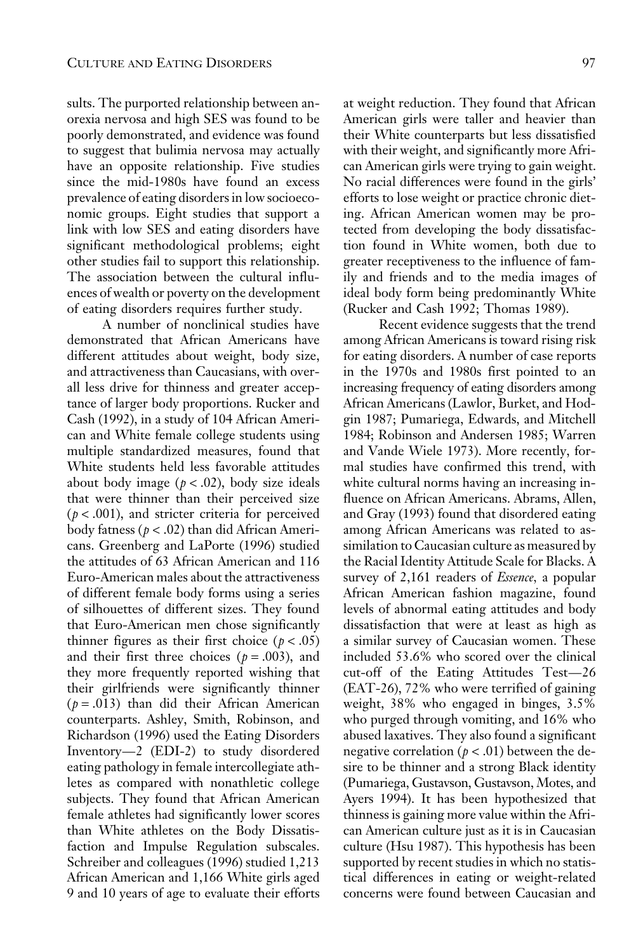sults. The purported relationship between an- at weight reduction. They found that African orexia nervosa and high SES was found to be American girls were taller and heavier than poorly demonstrated, and evidence was found their White counterparts but less dissatisfied to suggest that bulimia nervosa may actually with their weight, and significantly more Afriof eating disorders requires further study. (Rucker and Cash 1992; Thomas 1989).

demonstrated that African Americans have among African Americans is toward rising risk different attitudes about weight, body size, for eating disorders. A number of case reports and attractiveness than Caucasians, with over- in the 1970s and 1980s first pointed to an all less drive for thinness and greater accep- increasing frequency of eating disorders among tance of larger body proportions. Rucker and African Americans (Lawlor, Burket, and Hod-Cash (1992), in a study of 104 African Ameri- gin 1987; Pumariega, Edwards, and Mitchell can and White female college students using 1984; Robinson and Andersen 1985; Warren multiple standardized measures, found that and Vande Wiele 1973). More recently, for-White students held less favorable attitudes mal studies have confirmed this trend, with about body image  $(p < .02)$ , body size ideals white cultural norms having an increasing inthat were thinner than their perceived size fluence on African Americans. Abrams, Allen, (*p* < .001), and stricter criteria for perceived and Gray (1993) found that disordered eating body fatness (*p* < .02) than did African Ameri- among African Americans was related to ascans. Greenberg and LaPorte (1996) studied similation to Caucasian culture as measured by the attitudes of 63 African American and 116 the Racial Identity Attitude Scale for Blacks. A Euro-American males about the attractiveness survey of 2,161 readers of *Essence,* a popular of different female body forms using a series African American fashion magazine, found of silhouettes of different sizes. They found levels of abnormal eating attitudes and body that Euro-American men chose significantly dissatisfaction that were at least as high as thinner figures as their first choice  $(p < .05)$  a similar survey of Caucasian women. These and their first three choices  $(p = .003)$ , and included 53.6% who scored over the clinical they more frequently reported wishing that cut-off of the Eating Attitudes Test—26 their girlfriends were significantly thinner (EAT-26), 72% who were terrified of gaining  $(p = .013)$  than did their African American weight, 38% who engaged in binges, 3.5% counterparts. Ashley, Smith, Robinson, and who purged through vomiting, and 16% who Richardson (1996) used the Eating Disorders abused laxatives. They also found a significant Inventory—2 (EDI-2) to study disordered negative correlation  $(p < .01)$  between the deeating pathology in female intercollegiate ath- sire to be thinner and a strong Black identity letes as compared with nonathletic college (Pumariega, Gustavson, Gustavson, Motes, and subjects. They found that African American Ayers 1994). It has been hypothesized that female athletes had significantly lower scores thinness is gaining more value within the Afrithan White athletes on the Body Dissatis- can American culture just as it is in Caucasian faction and Impulse Regulation subscales. culture (Hsu 1987). This hypothesis has been Schreiber and colleagues (1996) studied 1,213 supported by recent studies in which no statis-African American and 1,166 White girls aged tical differences in eating or weight-related 9 and 10 years of age to evaluate their efforts concerns were found between Caucasian and

have an opposite relationship. Five studies can American girls were trying to gain weight. since the mid-1980s have found an excess No racial differences were found in the girls' prevalence of eating disorders in low socioeco- efforts to lose weight or practice chronic dietnomic groups. Eight studies that support a ing. African American women may be prolink with low SES and eating disorders have tected from developing the body dissatisfacsignificant methodological problems; eight tion found in White women, both due to other studies fail to support this relationship. greater receptiveness to the influence of fam-The association between the cultural influ- ily and friends and to the media images of ences of wealth or poverty on the development ideal body form being predominantly White

A number of nonclinical studies have Recent evidence suggests that the trend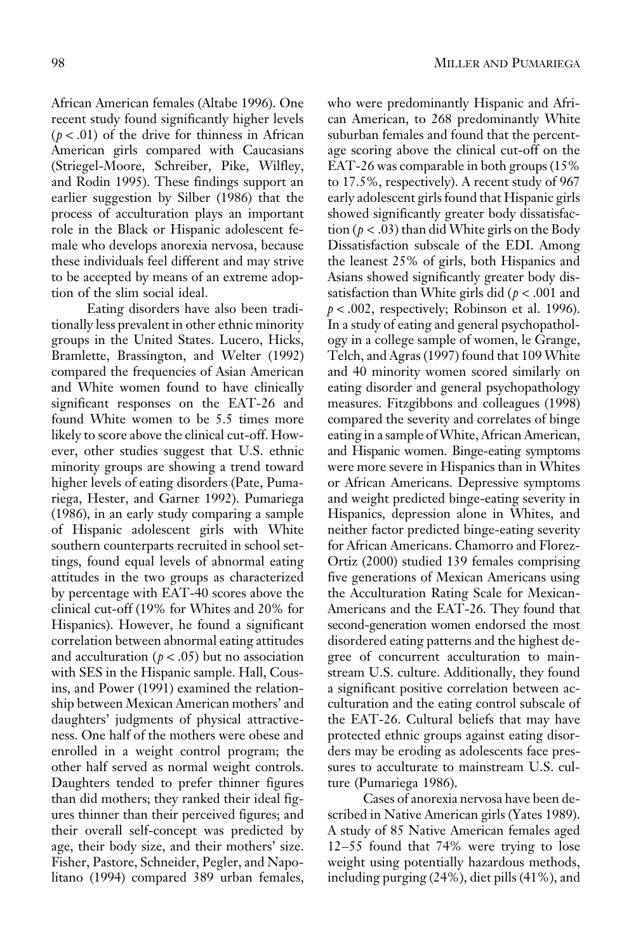African American females (Altabe 1996). One who were predominantly Hispanic and Afrirecent study found significantly higher levels can American, to 268 predominantly White  $(p < .01)$  of the drive for thinness in African suburban females and found that the percent-American girls compared with Caucasians age scoring above the clinical cut-off on the (Striegel-Moore, Schreiber, Pike, Wilfley, EAT-26 was comparable in both groups (15% and Rodin 1995). These findings support an to 17.5%, respectively). A recent study of 967 earlier suggestion by Silber (1986) that the early adolescent girls found that Hispanic girls process of acculturation plays an important showed significantly greater body dissatisfacrole in the Black or Hispanic adolescent fe- $\qquad$ tion ( $p < .03$ ) than did White girls on the Body male who develops anorexia nervosa, because Dissatisfaction subscale of the EDI. Among these individuals feel different and may strive the leanest 25% of girls, both Hispanics and to be accepted by means of an extreme adop- Asians showed significantly greater body dis-

tionally less prevalent in other ethnic minority In a study of eating and general psychopatholgroups in the United States. Lucero, Hicks, ogy in a college sample of women, le Grange, Bramlette, Brassington, and Welter (1992) Telch, and Agras (1997) found that 109 White compared the frequencies of Asian American and 40 minority women scored similarly on and White women found to have clinically eating disorder and general psychopathology significant responses on the EAT-26 and measures. Fitzgibbons and colleagues (1998) found White women to be 5.5 times more compared the severity and correlates of binge likely to score above the clinical cut-off. How- eating in a sample ofWhite, African American, ever, other studies suggest that U.S. ethnic and Hispanic women. Binge-eating symptoms minority groups are showing a trend toward were more severe in Hispanics than in Whites higher levels of eating disorders (Pate, Puma- or African Americans. Depressive symptoms riega, Hester, and Garner 1992). Pumariega and weight predicted binge-eating severity in (1986), in an early study comparing a sample Hispanics, depression alone in Whites, and of Hispanic adolescent girls with White neither factor predicted binge-eating severity southern counterparts recruited in school set- for African Americans. Chamorro and Floreztings, found equal levels of abnormal eating Ortiz (2000) studied 139 females comprising attitudes in the two groups as characterized five generations of Mexican Americans using by percentage with EAT-40 scores above the the Acculturation Rating Scale for Mexicanclinical cut-off (19% for Whites and 20% for Americans and the EAT-26. They found that Hispanics). However, he found a significant second-generation women endorsed the most correlation between abnormal eating attitudes disordered eating patterns and the highest deand acculturation ( $p < .05$ ) but no association gree of concurrent acculturation to mainwith SES in the Hispanic sample. Hall, Cous- stream U.S. culture. Additionally, they found ins, and Power (1991) examined the relation- a significant positive correlation between acship between Mexican American mothers' and culturation and the eating control subscale of daughters' judgments of physical attractive- the EAT-26. Cultural beliefs that may have ness. One half of the mothers were obese and protected ethnic groups against eating disorenrolled in a weight control program; the ders may be eroding as adolescents face presother half served as normal weight controls. sures to acculturate to mainstream U.S. cul-Daughters tended to prefer thinner figures ture (Pumariega 1986). than did mothers; they ranked their ideal fig- Cases of anorexia nervosa have been deures thinner than their perceived figures; and scribed in Native American girls (Yates 1989). their overall self-concept was predicted by A study of 85 Native American females aged age, their body size, and their mothers' size. 12–55 found that 74% were trying to lose Fisher, Pastore, Schneider, Pegler, and Napo- weight using potentially hazardous methods, litano (1994) compared 389 urban females, including purging (24%), diet pills (41%), and

tion of the slim social ideal. satisfaction than White girls did (*p* < .001 and Eating disorders have also been tradi- *p* < .002, respectively; Robinson et al. 1996).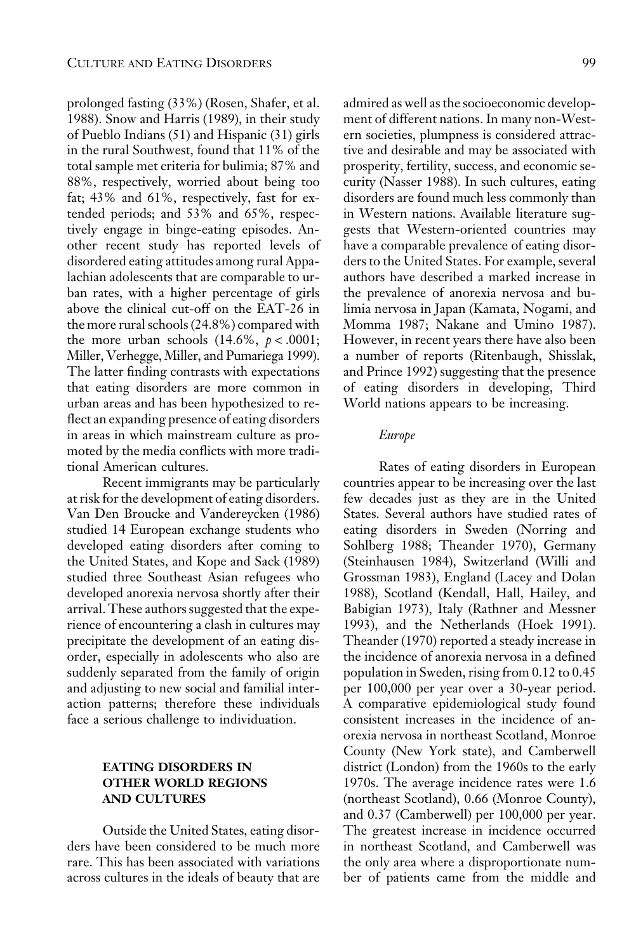1988). Snow and Harris (1989), in their study ment of different nations. In many non-Westof Pueblo Indians (51) and Hispanic (31) girls ern societies, plumpness is considered attracban rates, with a higher percentage of girls the prevalence of anorexia nervosa and buurban areas and has been hypothesized to re- World nations appears to be increasing. flect an expanding presence of eating disorders in areas in which mainstream culture as pro- *Europe* moted by the media conflicts with more traditional American cultures. Rates of eating disorders in European

at risk for the development of eating disorders. few decades just as they are in the United Van Den Broucke and Vandereycken (1986) States. Several authors have studied rates of studied 14 European exchange students who eating disorders in Sweden (Norring and developed eating disorders after coming to Sohlberg 1988; Theander 1970), Germany the United States, and Kope and Sack (1989) (Steinhausen 1984), Switzerland (Willi and studied three Southeast Asian refugees who Grossman 1983), England (Lacey and Dolan developed anorexia nervosa shortly after their 1988), Scotland (Kendall, Hall, Hailey, and arrival. These authors suggested that the expe- Babigian 1973), Italy (Rathner and Messner rience of encountering a clash in cultures may 1993), and the Netherlands (Hoek 1991). precipitate the development of an eating dis- Theander (1970) reported a steady increase in order, especially in adolescents who also are the incidence of anorexia nervosa in a defined suddenly separated from the family of origin population in Sweden, rising from 0.12 to 0.45 and adjusting to new social and familial inter- per 100,000 per year over a 30-year period. action patterns; therefore these individuals A comparative epidemiological study found face a serious challenge to individuation. consistent increases in the incidence of an-

ders have been considered to be much more in northeast Scotland, and Camberwell was rare. This has been associated with variations the only area where a disproportionate numacross cultures in the ideals of beauty that are ber of patients came from the middle and

prolonged fasting (33%) (Rosen, Shafer, et al. admired as well as the socioeconomic developin the rural Southwest, found that 11% of the tive and desirable and may be associated with total sample met criteria for bulimia; 87% and prosperity, fertility, success, and economic se-88%, respectively, worried about being too curity (Nasser 1988). In such cultures, eating fat; 43% and 61%, respectively, fast for ex- disorders are found much less commonly than tended periods; and 53% and 65%, respec- in Western nations. Available literature sugtively engage in binge-eating episodes. An- gests that Western-oriented countries may other recent study has reported levels of have a comparable prevalence of eating disordisordered eating attitudes among rural Appa- ders to the United States. For example, several lachian adolescents that are comparable to ur- authors have described a marked increase in above the clinical cut-off on the EAT-26 in limia nervosa in Japan (Kamata, Nogami, and the more rural schools (24.8%) compared with Momma 1987; Nakane and Umino 1987). the more urban schools  $(14.6\%, p < .0001;$  However, in recent years there have also been Miller, Verhegge, Miller, and Pumariega 1999). a number of reports (Ritenbaugh, Shisslak, The latter finding contrasts with expectations and Prince 1992) suggesting that the presence that eating disorders are more common in of eating disorders in developing, Third

Recent immigrants may be particularly countries appear to be increasing over the last orexia nervosa in northeast Scotland, Monroe County (New York state), and Camberwell **EATING DISORDERS IN** district (London) from the 1960s to the early **OTHER WORLD REGIONS** 1970s. The average incidence rates were 1.6 **AND CULTURES** (northeast Scotland), 0.66 (Monroe County), and 0.37 (Camberwell) per 100,000 per year. Outside the United States, eating disor- The greatest increase in incidence occurred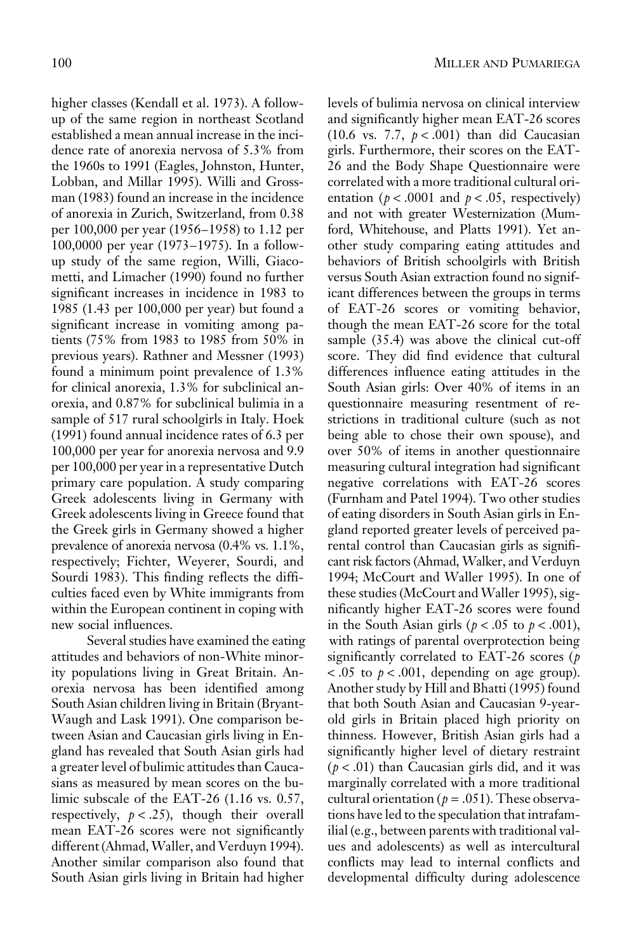higher classes (Kendall et al. 1973). A follow- levels of bulimia nervosa on clinical interview up of the same region in northeast Scotland and significantly higher mean EAT-26 scores established a mean annual increase in the inci-  $(10.6 \text{ vs. } 7.7, p < .001)$  than did Caucasian dence rate of anorexia nervosa of 5.3% from girls. Furthermore, their scores on the EATthe 1960s to 1991 (Eagles, Johnston, Hunter, 26 and the Body Shape Questionnaire were Lobban, and Millar 1995). Willi and Gross- correlated with a more traditional cultural oriman (1983) found an increase in the incidence entation ( $p < .0001$  and  $p < .05$ , respectively) of anorexia in Zurich, Switzerland, from 0.38 and not with greater Westernization (Mumper 100,000 per year (1956–1958) to 1.12 per ford, Whitehouse, and Platts 1991). Yet an-100,0000 per year (1973–1975). In a follow- other study comparing eating attitudes and up study of the same region, Willi, Giaco- behaviors of British schoolgirls with British metti, and Limacher (1990) found no further versus South Asian extraction found no signifsignificant increases in incidence in 1983 to icant differences between the groups in terms 1985 (1.43 per 100,000 per year) but found a of EAT-26 scores or vomiting behavior, significant increase in vomiting among pa- though the mean EAT-26 score for the total tients (75% from 1983 to 1985 from 50% in sample (35.4) was above the clinical cut-off previous years). Rathner and Messner (1993) score. They did find evidence that cultural found a minimum point prevalence of 1.3% differences influence eating attitudes in the for clinical anorexia, 1.3% for subclinical an- South Asian girls: Over 40% of items in an orexia, and 0.87% for subclinical bulimia in a questionnaire measuring resentment of resample of 517 rural schoolgirls in Italy. Hoek strictions in traditional culture (such as not (1991) found annual incidence rates of 6.3 per being able to chose their own spouse), and 100,000 per year for anorexia nervosa and 9.9 over 50% of items in another questionnaire per 100,000 per year in a representative Dutch measuring cultural integration had significant primary care population. A study comparing negative correlations with EAT-26 scores Greek adolescents living in Germany with (Furnham and Patel 1994). Two other studies Greek adolescents living in Greece found that of eating disorders in South Asian girls in Enthe Greek girls in Germany showed a higher gland reported greater levels of perceived paprevalence of anorexia nervosa (0.4% vs. 1.1%, rental control than Caucasian girls as signifirespectively; Fichter, Weyerer, Sourdi, and cant risk factors (Ahmad, Walker, and Verduyn Sourdi 1983). This finding reflects the diffi- 1994; McCourt and Waller 1995). In one of culties faced even by White immigrants from these studies (McCourt and Waller 1995), sigwithin the European continent in coping with nificantly higher EAT-26 scores were found new social influences. in the South Asian girls (*p* < .05 to *p* < .001),

attitudes and behaviors of non-White minor- significantly correlated to EAT-26 scores (*p* ity populations living in Great Britain. An- $\lt$  .05 to  $p \lt 0.001$ , depending on age group). orexia nervosa has been identified among Another study by Hill and Bhatti (1995) found South Asian children living in Britain (Bryant- that both South Asian and Caucasian 9-year-Waugh and Lask 1991). One comparison be- old girls in Britain placed high priority on tween Asian and Caucasian girls living in En- thinness. However, British Asian girls had a gland has revealed that South Asian girls had significantly higher level of dietary restraint a greater level of bulimic attitudes than Cauca- (*p* < .01) than Caucasian girls did, and it was sians as measured by mean scores on the bu- marginally correlated with a more traditional limic subscale of the EAT-26 (1.16 vs. 0.57, cultural orientation  $(p=.051)$ . These observarespectively,  $p < .25$ ), though their overall tions have led to the speculation that intrafammean EAT-26 scores were not significantly ilial (e.g., between parents with traditional valdifferent (Ahmad,Waller, and Verduyn 1994). ues and adolescents) as well as intercultural Another similar comparison also found that conflicts may lead to internal conflicts and South Asian girls living in Britain had higher developmental difficulty during adolescence

Several studies have examined the eating with ratings of parental overprotection being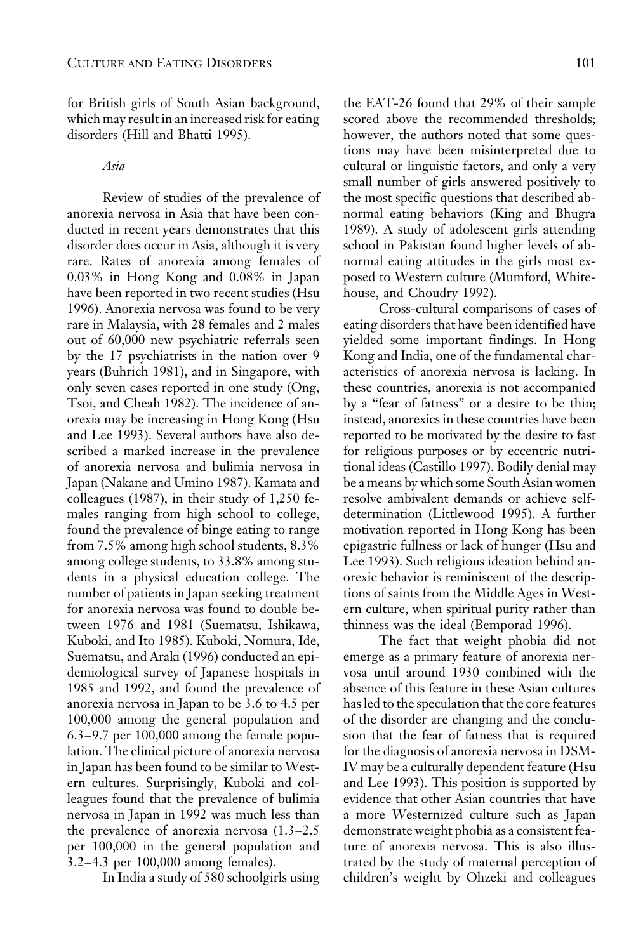for British girls of South Asian background, the EAT-26 found that 29% of their sample

anorexia nervosa in Asia that have been con- normal eating behaviors (King and Bhugra ducted in recent years demonstrates that this 1989). A study of adolescent girls attending disorder does occur in Asia, although it is very school in Pakistan found higher levels of abrare. Rates of anorexia among females of normal eating attitudes in the girls most ex-0.03% in Hong Kong and 0.08% in Japan posed to Western culture (Mumford, Whitehave been reported in two recent studies (Hsu house, and Choudry 1992). 1996). Anorexia nervosa was found to be very Cross-cultural comparisons of cases of rare in Malaysia, with 28 females and 2 males eating disorders that have been identified have out of 60,000 new psychiatric referrals seen yielded some important findings. In Hong by the 17 psychiatrists in the nation over 9 Kong and India, one of the fundamental charyears (Buhrich 1981), and in Singapore, with acteristics of anorexia nervosa is lacking. In only seven cases reported in one study (Ong, these countries, anorexia is not accompanied Tsoi, and Cheah 1982). The incidence of an- by a "fear of fatness" or a desire to be thin; orexia may be increasing in Hong Kong (Hsu instead, anorexics in these countries have been and Lee 1993). Several authors have also de- reported to be motivated by the desire to fast scribed a marked increase in the prevalence for religious purposes or by eccentric nutriof anorexia nervosa and bulimia nervosa in tional ideas (Castillo 1997). Bodily denial may Japan (Nakane and Umino 1987). Kamata and be a means by which some South Asian women colleagues (1987), in their study of 1,250 fe- resolve ambivalent demands or achieve selfmales ranging from high school to college, determination (Littlewood 1995). A further found the prevalence of binge eating to range motivation reported in Hong Kong has been from 7.5% among high school students, 8.3% epigastric fullness or lack of hunger (Hsu and among college students, to 33.8% among stu- Lee 1993). Such religious ideation behind andents in a physical education college. The orexic behavior is reminiscent of the descripnumber of patients in Japan seeking treatment tions of saints from the Middle Ages in Westfor anorexia nervosa was found to double be- ern culture, when spiritual purity rather than tween 1976 and 1981 (Suematsu, Ishikawa, thinness was the ideal (Bemporad 1996). Kuboki, and Ito 1985). Kuboki, Nomura, Ide, The fact that weight phobia did not Suematsu, and Araki (1996) conducted an epi- emerge as a primary feature of anorexia nerdemiological survey of Japanese hospitals in vosa until around 1930 combined with the 1985 and 1992, and found the prevalence of absence of this feature in these Asian cultures anorexia nervosa in Japan to be 3.6 to 4.5 per has led to the speculation that the core features 100,000 among the general population and of the disorder are changing and the conclu-6.3–9.7 per 100,000 among the female popu- sion that the fear of fatness that is required lation. The clinical picture of anorexia nervosa for the diagnosis of anorexia nervosa in DSMin Japan has been found to be similar to West- IV may be a culturally dependent feature (Hsu ern cultures. Surprisingly, Kuboki and col- and Lee 1993). This position is supported by leagues found that the prevalence of bulimia evidence that other Asian countries that have nervosa in Japan in 1992 was much less than a more Westernized culture such as Japan the prevalence of anorexia nervosa (1.3–2.5 demonstrate weight phobia as a consistent feaper 100,000 in the general population and ture of anorexia nervosa. This is also illus-3.2–4.3 per 100,000 among females). trated by the study of maternal perception of

which may result in an increased risk for eating scored above the recommended thresholds; disorders (Hill and Bhatti 1995). however, the authors noted that some questions may have been misinterpreted due to *Asia* cultural or linguistic factors, and only a very small number of girls answered positively to Review of studies of the prevalence of the most specific questions that described ab-

In India a study of 580 schoolgirls using children's weight by Ohzeki and colleagues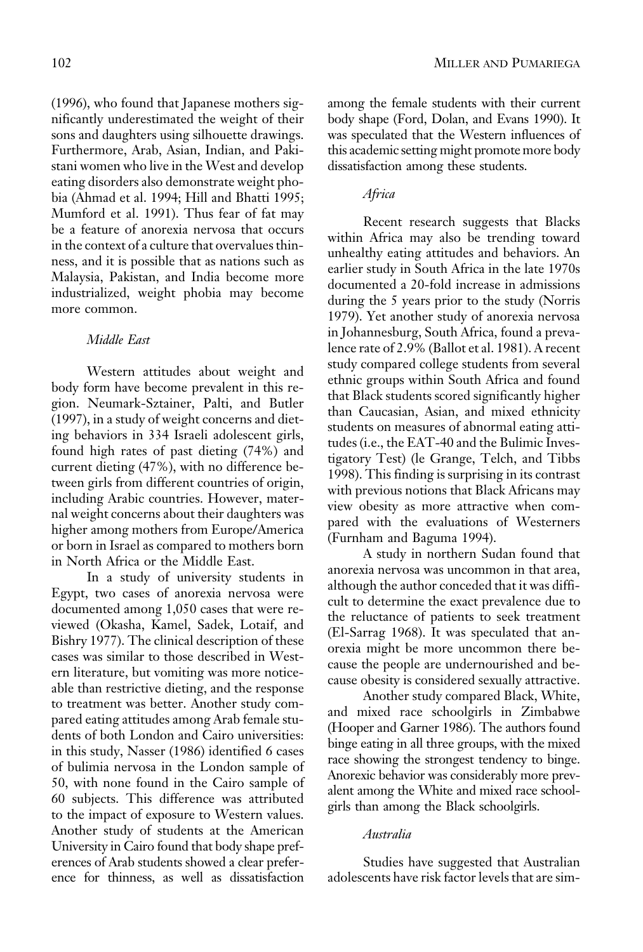(1996), who found that Japanese mothers sig- among the female students with their current nificantly underestimated the weight of their body shape (Ford, Dolan, and Evans 1990). It sons and daughters using silhouette drawings. was speculated that the Western influences of Furthermore, Arab, Asian, Indian, and Paki- this academic setting might promote more body stani women who live in the West and develop dissatisfaction among these students. eating disorders also demonstrate weight pho- *Africa* bia (Ahmad et al. 1994; Hill and Bhatti 1995;

Western attitudes about weight and<br>
blody form have booky compare college sudents from several<br>
blody form have become prevalent in this re-<br>
blody form have the straine groups within South Africa and found<br>
gion. Neumark-Another study of students at the American *Australia* University in Cairo found that body shape preferences of Arab students showed a clear prefer- Studies have suggested that Australian ence for thinness, as well as dissatisfaction adolescents have risk factor levels that are sim-

Mumford et al. 1991). Thus fear of fat may<br>be a feature of anorexia nervosa that occurs<br>in the context of a culture that overvalues thin-<br>ness, and it is possible that as nations such as<br>Malaysia, Pakistan, and India becom in Johannesburg, South Africa, found a preva- *Middle East* lence rate of 2.9% (Ballot et al. 1981). A recent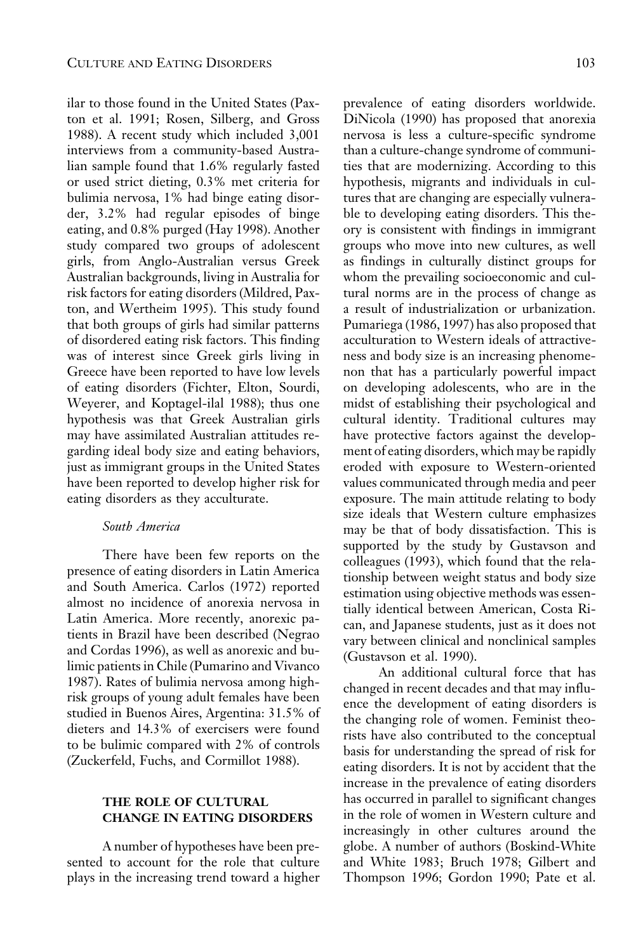ilar to those found in the United States (Pax- prevalence of eating disorders worldwide. ton et al. 1991; Rosen, Silberg, and Gross DiNicola (1990) has proposed that anorexia 1988). A recent study which included 3,001 nervosa is less a culture-specific syndrome interviews from a community-based Austra- than a culture-change syndrome of communilian sample found that 1.6% regularly fasted ties that are modernizing. According to this or used strict dieting, 0.3% met criteria for hypothesis, migrants and individuals in culbulimia nervosa, 1% had binge eating disor- tures that are changing are especially vulnerader, 3.2% had regular episodes of binge ble to developing eating disorders. This theeating, and 0.8% purged (Hay 1998). Another ory is consistent with findings in immigrant study compared two groups of adolescent groups who move into new cultures, as well girls, from Anglo-Australian versus Greek as findings in culturally distinct groups for Australian backgrounds, living in Australia for whom the prevailing socioeconomic and culrisk factors for eating disorders (Mildred, Pax- tural norms are in the process of change as ton, and Wertheim 1995). This study found a result of industrialization or urbanization.<br>that both groups of girls had similar patterns Pumariega (1986, 1997) has also proposed that that both groups of girls had similar patterns of disordered eating risk factors. This finding acculturation to Western ideals of attractivewas of interest since Greek girls living in ness and body size is an increasing phenome-Greece have been reported to have low levels non that has a particularly powerful impact of eating disorders (Fichter, Elton, Sourdi, on developing adolescents, who are in the Weyerer, and Koptagel-ilal 1988); thus one midst of establishing their psychological and hypothesis was that Greek Australian girls cultural identity. Traditional cultures may may have assimilated Australian attitudes re- have protective factors against the developgarding ideal body size and eating behaviors, ment of eating disorders, which may be rapidly just as immigrant groups in the United States eroded with exposure to Western-oriented have been reported to develop higher risk for values communicated through media and peer eating disorders as they acculturate. exposure. The main attitude relating to body

There have been few reports on the colleagues (1993), which found that the rela-<br>and South America. Carlos (1972) reported to the colleagues (1993), which found that the rela-<br>and South America. Carlos (1972) reported esti

sented to account for the role that culture and White 1983; Bruch 1978; Gilbert and plays in the increasing trend toward a higher Thompson 1996; Gordon 1990; Pate et al.

size ideals that Western culture emphasizes *South America* may be that of body dissatisfaction. This is

increase in the prevalence of eating disorders **THE ROLE OF CULTURAL** has occurred in parallel to significant changes **CHANGE IN EATING DISORDERS** in the role of women in Western culture and increasingly in other cultures around the A number of hypotheses have been pre- globe. A number of authors (Boskind-White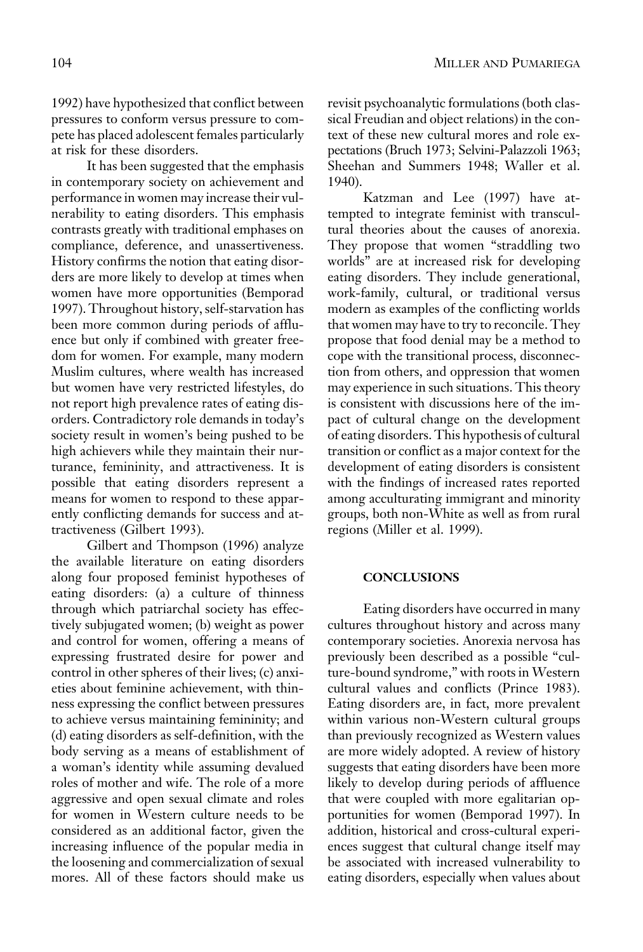1992) have hypothesized that conflict between revisit psychoanalytic formulations (both claspressures to conform versus pressure to com- sical Freudian and object relations) in the conpete has placed adolescent females particularly text of these new cultural mores and role exat risk for these disorders. pectations (Bruch 1973; Selvini-Palazzoli 1963;

in contemporary society on achievement and 1940). performance in women may increase their vul- Katzman and Lee (1997) have atnerability to eating disorders. This emphasis tempted to integrate feminist with transculcontrasts greatly with traditional emphases on tural theories about the causes of anorexia. compliance, deference, and unassertiveness. They propose that women "straddling two History confirms the notion that eating disor- worlds" are at increased risk for developing ders are more likely to develop at times when eating disorders. They include generational, women have more opportunities (Bemporad work-family, cultural, or traditional versus 1997). Throughout history, self-starvation has modern as examples of the conflicting worlds been more common during periods of afflu- that women may have to try to reconcile. They ence but only if combined with greater free- propose that food denial may be a method to dom for women. For example, many modern cope with the transitional process, disconnec-Muslim cultures, where wealth has increased tion from others, and oppression that women but women have very restricted lifestyles, do may experience in such situations. This theory not report high prevalence rates of eating dis- is consistent with discussions here of the imorders. Contradictory role demands in today's pact of cultural change on the development society result in women's being pushed to be of eating disorders. This hypothesis of cultural high achievers while they maintain their nur-<br>transition or conflict as a major context for the turance, femininity, and attractiveness. It is development of eating disorders is consistent possible that eating disorders represent a with the findings of increased rates reported means for women to respond to these appar- among acculturating immigrant and minority ently conflicting demands for success and at- groups, both non-White as well as from rural tractiveness (Gilbert 1993). regions (Miller et al. 1999).

Gilbert and Thompson (1996) analyze the available literature on eating disorders along four proposed feminist hypotheses of **CONCLUSIONS** eating disorders: (a) a culture of thinness through which patriarchal society has effec- Eating disorders have occurred in many tively subjugated women; (b) weight as power cultures throughout history and across many and control for women, offering a means of contemporary societies. Anorexia nervosa has expressing frustrated desire for power and previously been described as a possible "culcontrol in other spheres of their lives; (c) anxi- ture-bound syndrome," with roots in Western eties about feminine achievement, with thin- cultural values and conflicts (Prince 1983). ness expressing the conflict between pressures Eating disorders are, in fact, more prevalent to achieve versus maintaining femininity; and within various non-Western cultural groups (d) eating disorders as self-definition, with the than previously recognized as Western values body serving as a means of establishment of are more widely adopted. A review of history a woman's identity while assuming devalued suggests that eating disorders have been more roles of mother and wife. The role of a more likely to develop during periods of affluence aggressive and open sexual climate and roles that were coupled with more egalitarian opfor women in Western culture needs to be portunities for women (Bemporad 1997). In considered as an additional factor, given the addition, historical and cross-cultural experiincreasing influence of the popular media in ences suggest that cultural change itself may the loosening and commercialization of sexual be associated with increased vulnerability to mores. All of these factors should make us eating disorders, especially when values about

It has been suggested that the emphasis Sheehan and Summers 1948; Waller et al.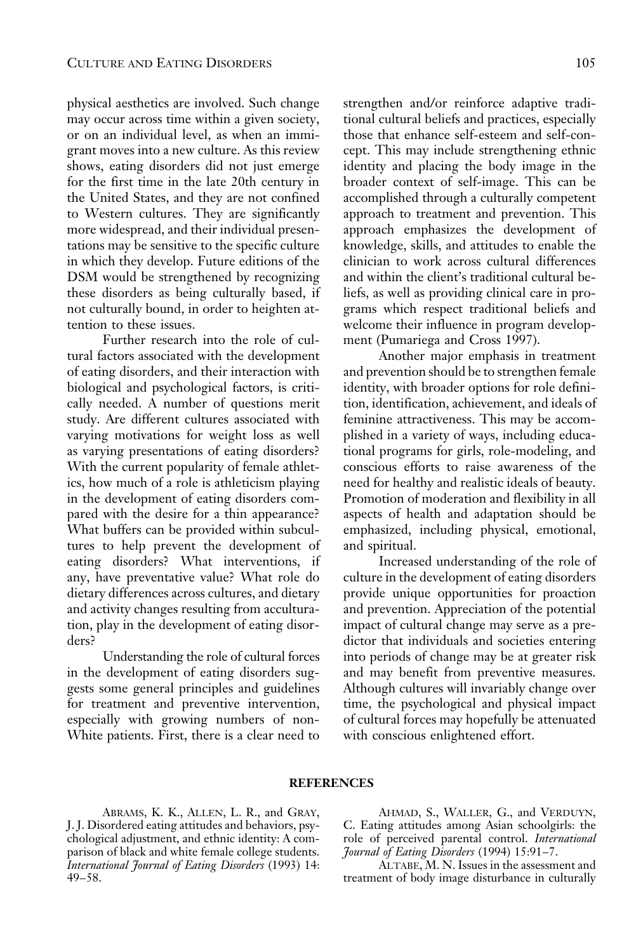may occur across time within a given society, tional cultural beliefs and practices, especially or on an individual level, as when an immi- those that enhance self-esteem and self-congrant moves into a new culture. As this review cept. This may include strengthening ethnic shows, eating disorders did not just emerge identity and placing the body image in the for the first time in the late 20th century in broader context of self-image. This can be the United States, and they are not confined accomplished through a culturally competent to Western cultures. They are significantly approach to treatment and prevention. This tations may be sensitive to the specific culture knowledge, skills, and attitudes to enable the in which they develop. Future editions of the clinician to work across cultural differences DSM would be strengthened by recognizing and within the client's traditional cultural bethese disorders as being culturally based, if liefs, as well as providing clinical care in pronot culturally bound, in order to heighten at- grams which respect traditional beliefs and tention to these issues. welcome their influence in program develop-

Further research into the role of cul-<br>ment (Pumariega and Cross 1997). tural factors associated with the development Another major emphasis in treatment of eating disorders, and their interaction with and prevention should be to strengthen female biological and psychological factors, is criti- identity, with broader options for role definically needed. A number of questions merit tion, identification, achievement, and ideals of study. Are different cultures associated with feminine attractiveness. This may be accomvarying motivations for weight loss as well plished in a variety of ways, including educaas varying presentations of eating disorders? tional programs for girls, role-modeling, and With the current popularity of female athlet- conscious efforts to raise awareness of the ics, how much of a role is athleticism playing need for healthy and realistic ideals of beauty. in the development of eating disorders com- Promotion of moderation and flexibility in all pared with the desire for a thin appearance? aspects of health and adaptation should be What buffers can be provided within subcul-<br>emphasized, including physical, emotional, tures to help prevent the development of and spiritual. eating disorders? What interventions, if Increased understanding of the role of any, have preventative value? What role do culture in the development of eating disorders dietary differences across cultures, and dietary provide unique opportunities for proaction and activity changes resulting from accultura- and prevention. Appreciation of the potential tion, play in the development of eating disor- impact of cultural change may serve as a preders? dictor that individuals and societies entering

in the development of eating disorders sug- and may benefit from preventive measures. gests some general principles and guidelines Although cultures will invariably change over for treatment and preventive intervention, time, the psychological and physical impact especially with growing numbers of non- of cultural forces may hopefully be attenuated White patients. First, there is a clear need to with conscious enlightened effort.

physical aesthetics are involved. Such change strengthen and/or reinforce adaptive tradimore widespread, and their individual presen- approach emphasizes the development of

Understanding the role of cultural forces into periods of change may be at greater risk

## **REFERENCES**

chological adjustment, and ethnic identity: A com-<br>parison of black and white female college students. *Journal of Eating Disorders* (1994) 15:91–7. parison of black and white female college students. *Journal of Eating Disorders* (1994) 15:91–7. *International Journal of Eating Disorders* (1993) 14:

ABRAMS, K. K., ALLEN, L. R., and GRAY, AHMAD, S., WALLER, G., and VERDUYN, J. J. Disordered eating attitudes and behaviors, psy- C. Eating attitudes among Asian schoolgirls: the C. Eating attitudes among Asian schoolgirls: the role of perceived parental control. International

49–58. treatment of body image disturbance in culturally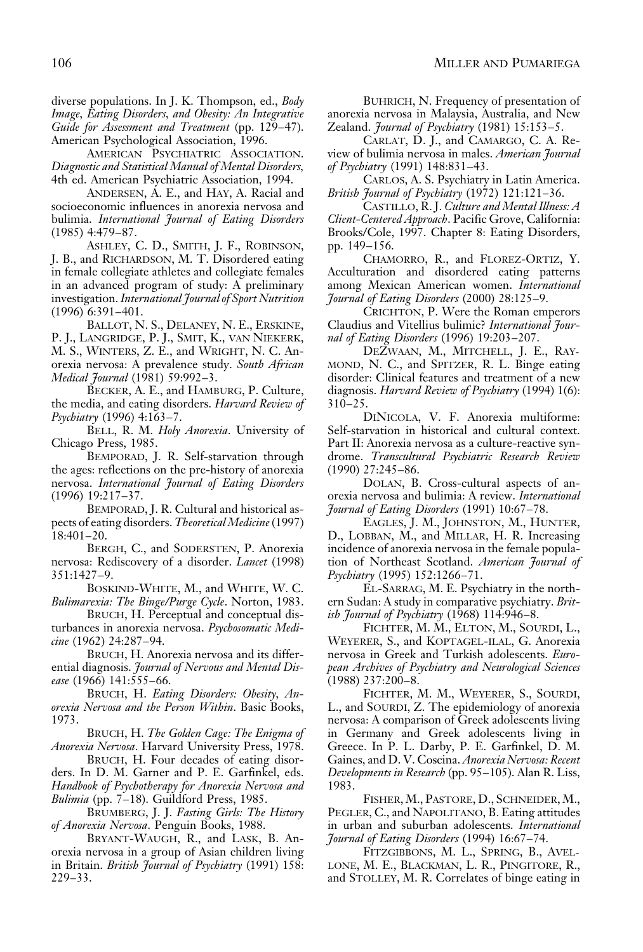*Image, Eating Disorders, and Obesity: An Integrative* anorexia nervosa in Malaysia, Australia, and New American Psychological Association, 1996.

*Diagnostic and Statistical Manual of Mental Disorders, of Psychiatry* (1991) 148:831–43. 4th ed. American Psychiatric Association, 1994.

socioeconomic influences in anorexia nervosa and CASTILLO, R. J. *Culture and Mental Illness: A* (1985) 4:479–87. Brooks/Cole, 1997. Chapter 8: Eating Disorders,

ASHLEY, C. D., SMITH, J. F., ROBINSON, pp. 149–156.<br>J. B., and RICHARDSON, M. T. Disordered eating CHAM J. B., and RICHARDSON, M. T. Disordered eating CHAMORRO, R., and FLOREZ-ORTIZ, Y. in female collegiate athletes and collegiate females Acculturation and disordered eating patterns in an advanced program of study: A preliminary among Mexican American women. *International* investigation. *International Journal of Sport Nutrition* (1996) 6:391-401.

P. J., LANGRIDGE, P. J., SMIT, K., VAN NIEKERK, *nal of Eating Disorders* (1996) 19:203–207. M. S., WINTERS, Z. E., and WRIGHT, N. C. An-

the media, and eating disorders. *Harvard Review of Psychiatry* (1996) 4:163–7.

the ages: reflections on the pre-history of anorexia (1990) 27:245–86. nervosa. *International Journal of Eating Disorders* DOLAN, B. Cross-cultural aspects of an-<br>(1996) 19:217–37. orexia nervosa and bulimia: A review. *International* 

pects of eating disorders. *Theoretical Medicine*(1997) EAGLES, J. M., JOHNSTON, M., HUNTER,

351:1427–9. *Psychiatry* (1995) 152:1266–71.

BRUCH, H. Perceptual and conceptual dis- *ish Journal of Psychiatry* (1968) 114:946–8. turbances in anorexia nervosa. *Psychosomatic Medi-* cine (1962) 24:287-94.

*ease* (1966) 141:555-66.

*Handbook of Psychotherapy for Anorexia Nervosa and* 1983. *Bulimia* (pp. 7-18). Guildford Press, 1985. FISHER, M., PASTORE, D., SCHNEIDER, M.,

orexia nervosa in a group of Asian children living FITZGIBBONS, M. L., SPRING, B., AVEL-<br>in Britain. *British Journal of Psychiatry* (1991) 158: LONE, M. E., BLACKMAN, L. R., PINGITORE, R.,

diverse populations. In J. K. Thompson, ed., *Body* BUHRICH, N. Frequency of presentation of *Guide for Assessment and Treatment* (pp. 129–47). Zealand. *Journal of Psychiatry* (1981) 15:153–5.

AMERICAN PSYCHIATRIC ASSOCIATION. view of bulimia nervosa in males. *American Journal* stic and Statistical Manual of Mental Disorders, of Psychiatry (1991) 148:831–43.

ANDERSEN, A. E., and HAY, A. Racial and *British Journal of Psychiatry* (1972) 121:121–36.

bulimia. *International Journal of Eating Disorders Client-Centered Approach*. Pacific Grove, California:

CRICHTON, P. Were the Roman emperors BALLOT, N. S., DELANEY, N. E., ERSKINE, Claudius and Vitellius bulimic? *International Jour-*

orexia nervosa: A prevalence study. *South African* MOND, N. C., and SPITZER, R. L. Binge eating disorder: Clinical features and treatment of a new BECKER, A. E., and HAMBURG, P. Culture, diagnosis. *Harvard Review of Psychiatry* (1994) 1(6):

*Psychiatry* (1996) 4:163–7. DINICOLA, V. F. Anorexia multiforme: BELL, R. M. *Holy Anorexia*. University of Self-starvation in historical and cultural context.<br>Chicago Press, 1985. Part II: Anorexia nervosa as a culture-reactive syn-Part II: Anorexia nervosa as a culture-reactive syn-BEMPORAD, J. R. Self-starvation through drome. *Transcultural Psychiatric Research Review*

(1996) 19:217–37. orexia nervosa and bulimia: A review. *International* BEMPORAD, J. R. Cultural and historical as- *Journal of Eating Disorders* (1991) 10:67–78.

18:401–20.<br>BERGH, C., and SODERSTEN, P. Anorexia incidence of anorexia nervosa in the female populaincidence of anorexia nervosa in the female populanervosa: Rediscovery of a disorder. *Lancet* (1998) tion of Northeast Scotland. *American Journal of*

EL-SARRAG, M. E. Psychiatry in the north-*Bulimarexia: The Binge/Purge Cycle*. Norton, 1983. ern Sudan: A study in comparative psychiatry. *Brit-*

**WEYERER, S., and KOPTAGEL-ILAL, G. Anorexia** BRUCH, H. Anorexia nervosa and its differ- nervosa in Greek and Turkish adolescents. *Euro*ential diagnosis. *Journal of Nervous and Mental Dis- pean Archives of Psychiatry and Neurological Sciences*

BRUCH, H. *Eating Disorders: Obesity, An-* FICHTER, M. M., WEYERER, S., SOURDI, *orexia Nervosa and the Person Within*. Basic Books, L., and SOURDI, Z. The epidemiology of anorexia nervosa: A comparison of Greek adolescents living<br>BRUCH, H. The Golden Cage: The Enigma of in Germany and Greek adolescents living in in Germany and Greek adolescents living in *Anorexia Nervosa*. Harvard University Press, 1978. Greece. In P. L. Darby, P. E. Garfinkel, D. M. BRUCH, H. Four decades of eating disor- Gaines, and D. V. Coscina. *Anorexia Nervosa: Recent* Developments in Research (pp. 95–105). Alan R. Liss,

BRUMBERG, J. J. *Fasting Girls: The History* PEGLER, C., and NAPOLITANO, B. Eating attitudes *of Anorexia Nervosa*. Penguin Books, 1988. in urban and suburban adolescents. *International* BRYANT-WAUGH, R., and LASK, B. An- *Journal of Eating Disorders* (1994) 16:67–74.

LONE, M. E., BLACKMAN, L. R., PINGITORE, R., 229–33. and STOLLEY, M. R. Correlates of binge eating in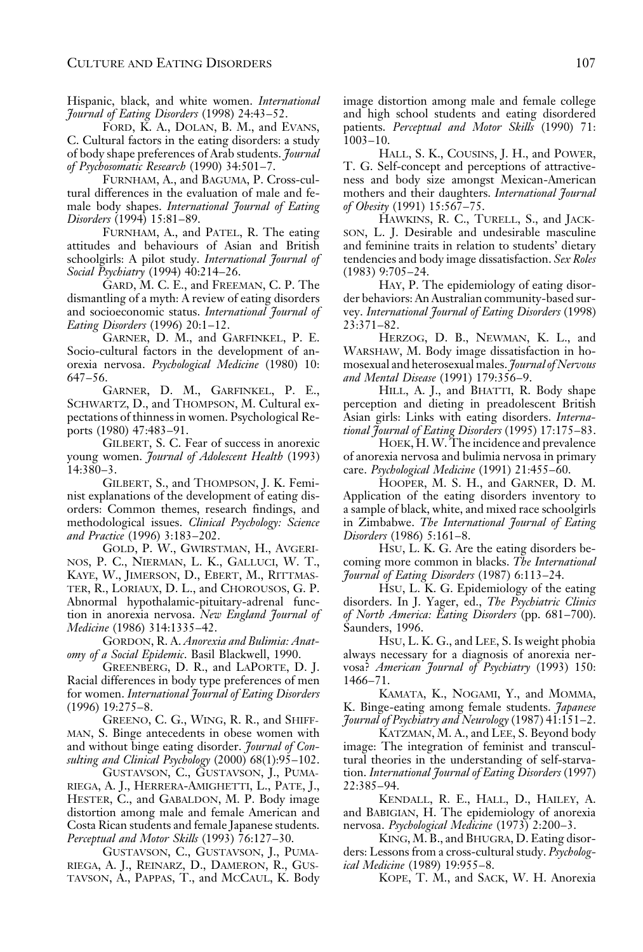Hispanic, black, and white women. *International* image distortion among male and female college

C. Cultural factors in the eating disorders: a study of body shape preferences of Arab students. *Journal* HALL, S. K., COUSINS, J. H., and POWER,

male body shapes. *International Journal of Eating of Obesity* (1991) 15:567–75.

attitudes and behaviours of Asian and British and feminine traits in relation to students' dietary schoolgirls: A pilot study. *International Journal of* tendencies and body image dissatisfaction. *Sex Roles Social Psychiatry* (1994) 40:214–26. (1983) 9:705–24.

dismantling of a myth: A review of eating disorders der behaviors: An Australian community-based sur-<br>and socioeconomic status. International Journal of vey. International Journal of Eating Disorders (1998) and socioeconomic status. *International Journal of* vey. *International Eating Disorders* (1996) 20:1-12. 23:371-82. *Eating Disorders* (1996) 20:1-12.

GARNER, D. M., GARFINKEL, P. E., SCHWARTZ, D., and THOMPSON, M. Cultural expectations of thinness in women. Psychological Re- Asian girls: Links with eating disorders. *Interna-*

young women. *Journal of Adolescent Health* (1993) of anorexia nervosa and bulimia nervosa in primary 14:380–3. care. *Psychological Medicine* (1991) 21:455–60.

*and Practice* (1996) 3:183–202. *Disorders* (1986) 5:161–8.

NOS, P. C., NIERMAN, L. K., GALLUCI, W. T., coming more common in blacks. *The International* KAYE, W., JIMERSON, D., EBERT, M., RITTMAS- *Journal of Eating Disorders* (1987) 6:113–24. TER, R., LORIAUX, D. L., and CHOROUSOS, G. P. tion in anorexia nervosa. *New England Journal of of North America: Eating Disorders* (pp. 681–700). *Medicine* (1986) 314:1335–42.<br>GORDON, R. A. Anorexia and Bulimia: Anat-

Racial differences in body type preferences of men 1466–71. for women. *International Journal of Eating Disorders* KAMATA, K., NOGAMI, Y., and MOMMA,

MAN, S. Binge antecedents in obese women with and without binge eating disorder. *Journal of Con-* image: The integration of feminist and transcul-

RIEGA, A. J., HERRERA-AMIGHETTI, L., PATE, J., 22:385–94. HESTER, C., and GABALDON, M. P. Body image KENDALL, R. E., HALL, D., HAILEY, A. distortion among male and female American and and BABIGIAN, H. The epidemiology of anorexia distortion among male and female American and Costa Rican students and female Japanese students. nervosa. *Psychological Medicine* (1973) 2:200–3. *Perceptual and Motor Skills* (1993) 76:127–30. KING, M. B., and BHUGRA, D. Eating disor-

RIEGA, A. J., REINARZ, D., DAMERON, R., GUS-TAVSON, A., PAPPAS, T., and MCCAUL, K. Body KOPE, T. M., and SACK, W. H. Anorexia

*Journal of Eating Disorders* (1998) 24:43–52. and high school students and eating disordered patients. *Perceptual and Motor Skills* (1990) 71:<br>1003–10.

*of Psychosomatic Research* (1990) 34:501–7. T. G. Self-concept and perceptions of attractive-FURNHAM, A., and BAGUMA, P. Cross-cul- ness and body size amongst Mexican-American tural differences in the evaluation of male and fe- mothers and their daughters. *International Journal*

HAWKINS, R. C., TURELL, S., and JACK-FURNHAM, A., and PATEL, R. The eating SON, L. J. Desirable and undesirable masculine

GARD, M. C. E., and FREEMAN, C. P. The HAY, P. The epidemiology of eating disor-

GARNER, D. M., and GARFINKEL, P. E. HERZOG, D. B., NEWMAN, K. L., and Socio-cultural factors in the development of an- WARSHAW, M. Body image dissatisfaction in hoorexia nervosa. *Psychological Medicine* (1980) 10: mosexual and heterosexual males. *Journal of Nervous* 647–56. *and Mental Disease* (1991) 179:356–9.

perception and dieting in preadolescent British ports (1980) 47:483–91. *tional Journal of Eating Disorders* (1995) 17:175–83.

HOEK, H.W. The incidence and prevalence

GILBERT, S., and THOMPSON, J. K. Femi- HOOPER, M. S. H., and GARNER, D. M. nist explanations of the development of eating dis- Application of the eating disorders inventory to orders: Common themes, research findings, and a sample of black, white, and mixed race schoolgirls methodological issues. *Clinical Psychology: Science* in Zimbabwe. *The International Journal of Eating*

HSU, L. K. G. Are the eating disorders be-

Abnormal hypothalamic-pituitary-adrenal func- disorders. In J. Yager, ed., *The Psychiatric Clinics*

HSU, L. K. G., and LEE, S. Is weight phobia *omy of a Social Epidemic*. Basil Blackwell, 1990. always necessary for a diagnosis of anorexia ner-GREENBERG, D. R., and LAPORTE, D. J. vosa? American Journal of Psychiatry (1993) 150:

(1996) 19:275–8. K. Binge-eating among female students. *Japanese* GREENO, C. G., WING, R. R., and SHIFF- *Journal of Psychiatry and Neurology* (1987) 41:151–2.

*sulting and Clinical Psychology* (2000) 68(1):95–102. tural theories in the understanding of self-starvation. *International Journal of Eating Disorders* (1997)

GUSTAVSON, C., GUSTAVSON, J., PUMA- ders: Lessons from a cross-cultural study. *Psycholog-A. J.*, REINARZ, D., DAMERON, R., GUS- *ical Medicine* (1989) 19:955–8.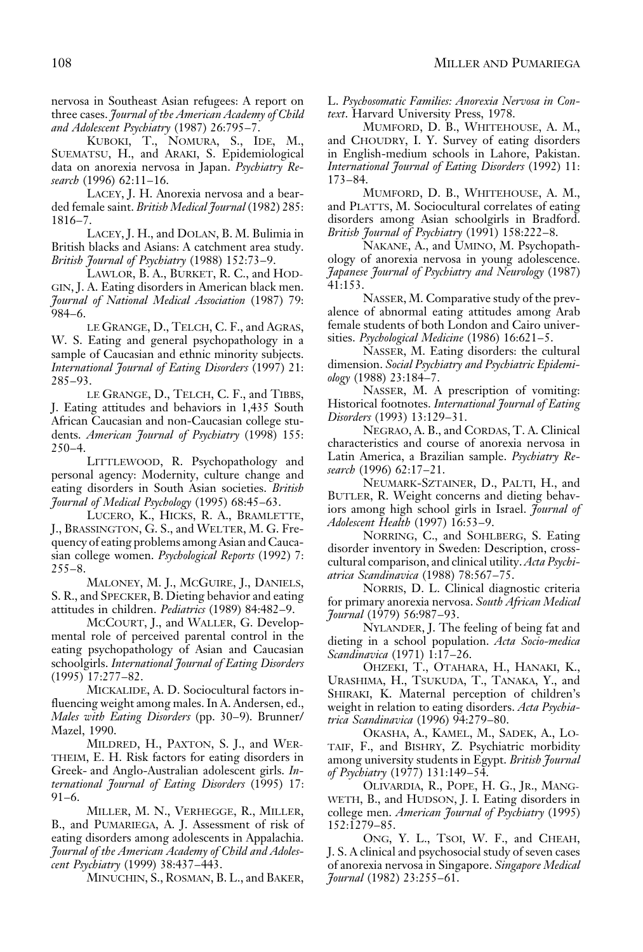nervosa in Southeast Asian refugees: A report on L. *Psychosomatic Families: Anorexia Nervosa in Con*three cases. *Journal of the American Academy of Child text*. Harvard University Press, 1978.

SUEMATSU, H., and ARAKI, S. Epidemiological in English-medium schools in Lahore, Pakistan.<br>data on anorexia nervosa in Japan. *Psychiatry Re-* International Journal of Eating Disorders (1992) 11: data on anorexia nervosa in Japan. *Psychiatry Re- International Arearch* (1996) 62:11–16. *search* (1996) 62:11–16.<br>
LACEY, J. H. Anorexia nervosa and a bear-MUMFORD, D. B., WHITEHOUSE, A. M.,

ded female saint. *British Medical Journal* (1982) 285:<br>1816–7.

LACEY, J. H., and DOLAN, B. M. Bulimia in *British Journal of Psychiatry* (1991) 158:222–8. British blacks and Asians: A catchment area study. *British Journal of Psychiatry* (1988) 152:73-9. ology of anorexia nervosa in young adolescence.

GIN, J. A. Eating disorders in American black men. 41:153.<br>
Fournal of National Medical Association (1987) 79: NASSER, M. Comparative study of the prev-*Journal of National Medical Association* (1987) 79:

W. S. Eating and general psychopathology in a sities. *Psychological Medicine* (1986) 16:621–5. sample of Caucasian and ethnic minority subjects.<br>
International Journal of Eating Disorders (1997) 21: dimension. Social Psychiatry and Psychiatric Epidemi-<br>
285–93.<br>
LE GRANGE, D., TELCH, C. F., and TIBBS, N.SSER, M. A p

LE GRANGE, D., TELCH1, C. F., and TIBIS,<br>
J. Esting attitudes and behaviors in 1,435 South Bisotrical footnotes. International domating at<br>
African Caucasian and non-Caucasian college stu-<br>
Disorders. American Journal of P

THEIM, E. H. Risk factors for eating disorders in among university students in Egypt. *British Journal* Greek- and Anglo-Australian adolescent girls. *In- of Psychiatry* (1977) 131:149–54. *ternational Journal of Eating Disorders* (1995) 17: OLIVARDIA, R., POPE, H. G., JR., MANG-

B., and PUMARIEGA, A. J. Assessment of risk of 152:1279-85.<br>eating disorders among adolescents in Appalachia. ONG, Y. L., TSOI, W. F., and CHEAH, eating disorders among adolescents in Appalachia.<br>Journal of the American Academy of Child and Adoles-

MINUCHIN, S., ROSMAN, B. L., and BAKER, *Journal* (1982) 23:255–61.

*and Adolescent Psychiatry* (1987) 26:795–7. MUMFORD, D. B., WHITEHOUSE, A. M., and CHOUDRY, I. Y. Survey of eating disorders

LACEY, J. H. Anorexia nervosa and a bear-<br>
male saint. *British Medical Journal* (1982) 285: and PLATTS, M. Sociocultural correlates of eating disorders among Asian schoolgirls in Bradford.<br>British Journal of Psychiatry (1991) 158:222-8.

LAWLOR, B. A., BURKET, R. C., and HOD- *Japanese Journal of Psychiatry and Neurology* (1987)

984–6.<br>I.E.GRANGE, D., TELCH, C. E., and AGRAS. female students of both London and Cairo univer-LE GRANGE, D., TELCH, C. F., and AGRAS, female students of both London and Cairo universal psychonathology in a sities. Psychological Medicine (1986) 16:621–5.

MILDRED, H., PAXTON, S. J., and WER-<br>TAIF, F., and BISHRY, Z. Psychiatric morbidity<br>ments, F., and BISHRY, Z. Psychiatric morbidity

WETH, B., and HUDSON, J. I. Eating disorders in<br>MILLER, M. N., VERHEGGE, R., MILLER, college men. American Journal of Psychiatry (1995) college men. *American Journal of Psychiatry* (1995)<br>152:1279–85.

*Journal of the American Academy of Child and Adoles-* J. S. A clinical and psychosocial study of seven cases *cent Psychiatry* (1999) 38:437–443. of anorexia nervosa in Singapore. *Singapore Medical*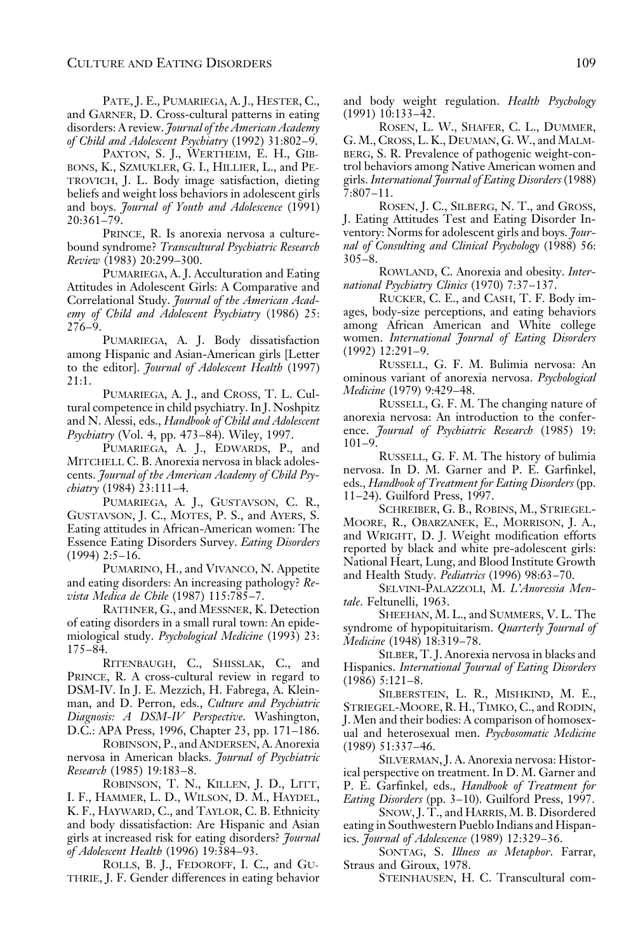and GARNER, D. Cross-cultural patterns in eating (1991) 10:133-42.<br>disorders: A review. *Journal of the American Academy* ROSEN, L. W., SHAFER, C. L., DUMMER, disorders: A review. *Journal of the American Academy* ROSEN, L. W., SHAFER, C. L., DUMMER, of Child and Adolescent Psychiatry (1992) 31:802–9. G. M., CROSS, L. K., DEUMAN, G. W., and MALMof Child and Adolescent Psychiatry (1992) 31:802-9.

TROVICH, J. L. Body image satisfaction, dieting girls. *Inter*<br>beliefs and weight loss behaviors in adolescent girls 7:807-11. beliefs and weight loss behaviors in adolescent girls 7:807–11.<br>and boys. *Journal of Youth and Adolescence* (1991) ROSEN, J. C., SILBERG, N. T., and GROSS, and boys. *Journal of Youth and Adolescence* (1991) 20:361-79.

bound syndrome? *Transcultural Psychiatric Research nal of Consulting and Consulting and Clinical Psychiatric Research* 305–8. *Review* (1983) 20:299–300.<br>PUMARIEGA, A. I. Acculturation and Eating **305–8.** ROWLAND, C. Anorexia and obesity. *Inter*-

Attitudes in Adolescent Girls: A Comparative and Correlational Study. *Journal of the American Acad*-<br> *emy of Child and Adolescent Psychiatry* (1986) 25: ages, body-size perceptions, and eating behaviors *emy of Child and Adolescent Psychiatry* (1986) 25:

PUMARIEGA, A. J. Body dissatisfaction women. *International Journal of Eating Disorders*<br>among Hispanic and Asian-American girls [Letter (1992) 12:291–9.<br>to the editor] *Journal of Adolescent Health* (1997) RUSSELL, G. F. to the editor]. *Journal of Adolescent Health* (1997)

PUMARIEGA, A. J., and CROSS, T. L. Cul-<br>tural competence in child psychiatry. In J. Noshpitz<br>and N. Alessi, eds., *Handbook of Child and Adolescent*<br>*Psychiatry* (Vol. 4, pp. 473–84). Wiley, 1997.<br>PUMARIEGA, A. J., EDWARDS

MITCHELL C. B. Anorexia nervosa in black adoles-<br>
RESSELL, G. H. The history of bulminal of the American Academy of Child Py-<br>
central and book of Treatment for Earling Disorders<br> *chiary* (1984) 23:111-4.<br>
Courses, Ja., G

K. F., HAYWARD, C., and TAYLOR, C. B. Ethnicity SNOW, J. T., and HARRIS, M. B. Disordered<br>and body dissatisfaction: Are Hispanic and Asian eating in Southwestern Pueblo Indians and Hispangirls at increased risk for eating disorders? *Journal* ics. *Journal of Adolescence* (1989) 12:329–36.

ROLLS, B. J., FEDOROFF, I. C., and GU-<br>Straus and Giroux, 1978. THRIE, J. F. Gender differences in eating behavior STEINHAUSEN, H. C. Transcultural com-

PATE, J. E., PUMARIEGA, A. J., HESTER, C., and body weight regulation. *Health Psychology*

PAXTON, S. J., WERTHEIM, E. H., GIB- BERG, S. R. Prevalence of pathogenic weight-con-BONS, K., SZMUKLER, G. I., HILLIER, L., and PE- trol behaviors among Native American women and TROVICH, J. L. Body image satisfaction, dieting girls. *International Journal of Eating Disorders* (1988)

J. Eating Attitudes Test and Eating Disorder In-PRINCE, R. Is anorexia nervosa a culture- ventory: Norms for adolescent girls and boys. *Jour-*

PUMARIEGA, A. J. Acculturation and Eating **ROWLAND, C. Anorexia and obesity**<br>
les in Adolescent Girls: A Comparative and *national Psychiatry Clinics* (1970) 7:37–137.

276–9.<br>PUMARIEGA. A. I. Body dissatisfaction women. International Journal of Eating Disorders

21:1.<br>PUMARIEGA A I and CROSS T L Cul-<br>Medicine (1979) 9:429-48.

nervosa in American blacks. *Journal of Psychiatric* SILVERMAN, J. A. Anorexia nervosa: Histor-<br>
Research (1985) 19:183–8.<br>
ROBINSON, T. N., KILLEN, J. D., LITT, P. E. Garfinkel, eds., *Handbook of Treatment for*<br>
I. F., H

eating in Southwestern Pueblo Indians and Hispan-

SONTAG, S. *Illness as Metaphor*. Farrar,